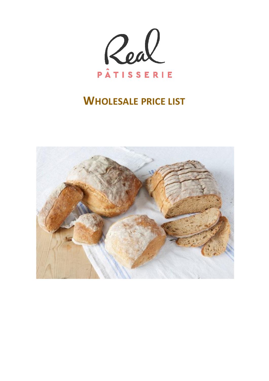

# **WHOLESALE PRICE LIST**

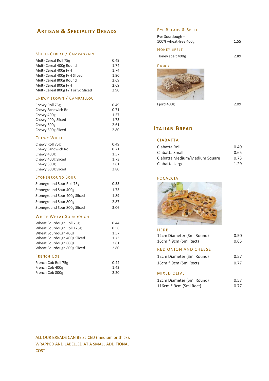# **ARTISAN & SPECIALITY BREADS**

### MULTI-CEREAL / CAMPAGRAIN

| Multi-Cereal Roll 75g<br>Multi-Cereal 400g Round<br>Multi-Cereal 400g F/H<br>Multi-Cereal 400g F/H Sliced<br>Multi-Cereal 800g Round<br>Multi-Cereal 800g F/H<br>Multi-Cereal 800g F/H or Sq Sliced | 0.49<br>1.74<br>1.74<br>1.90<br>2.69<br>2.69<br>2.90 |
|-----------------------------------------------------------------------------------------------------------------------------------------------------------------------------------------------------|------------------------------------------------------|
| CHEWY BROWN / CAMPAILLOU                                                                                                                                                                            |                                                      |
| Chewy Roll 75g<br>Chewy Sandwich Roll<br>Chewy 400g<br>Chewy 400g Sliced<br>Chewy 800g<br>Chewy 800g Sliced                                                                                         | 0.49<br>0.71<br>1.57<br>1.73<br>2.61<br>2.80         |
| <b>CHEWY WHITE</b>                                                                                                                                                                                  |                                                      |
| Chewy Roll 75g<br>Chewy Sandwich Roll<br>Chewy 400g<br>Chewy 400g Sliced<br>Chewy 800g<br>Chewy 800g Sliced                                                                                         | 0.49<br>0.71<br>1.57<br>1.73<br>2.61<br>2.80         |
| <b>STONEGROUND SOUR</b>                                                                                                                                                                             |                                                      |
| Stoneground Sour Roll 75g                                                                                                                                                                           | 0.53                                                 |
| Stoneground Sour 400g                                                                                                                                                                               | 1.73                                                 |
| Stoneground Sour 400g Sliced                                                                                                                                                                        | 1.89                                                 |
| Stoneground Sour 800g                                                                                                                                                                               | 2.87                                                 |
| Stoneground Sour 800g Sliced                                                                                                                                                                        | 3.06                                                 |
| <b>WHITE WHEAT SOURDOUGH</b>                                                                                                                                                                        |                                                      |
| Wheat Sourdough Roll 75g<br>Wheat Sourdough Roll 125g<br>Wheat Sourdough 400g<br>Wheat Sourdough 400g Sliced<br>Wheat Sourdough 800g<br>Wheat Sourdough 800g Sliced                                 | 0.44<br>0.58<br>1.57<br>1.73<br>2.61<br>2.80         |
| <b>FRENCH COB</b>                                                                                                                                                                                   |                                                      |
| French Cob Roll 75g<br>French Cob 400g                                                                                                                                                              | 0.44<br>1.43                                         |

## RYE BREADS & SPELT

| Rye Sourdough $-$<br>100% wheat-free 400g | 1.55 |
|-------------------------------------------|------|
| <b>HONEY SPELT</b>                        |      |
| Honey spelt 400g                          | 2.89 |

#### **FJORD**



Fjord 400g 2.09

# **ITALIAN BREAD**

# CIABATTA

| Ciabatta Roll                 | 0.49 |
|-------------------------------|------|
| Ciabatta Small                | 0.65 |
| Ciabatta Medium/Medium Square | 0.73 |
| Ciabatta Large                | 1.29 |

#### **FOCACCIA**



## HERB

| 12cm Diameter (Sml Round)<br>16cm * 9cm (Sml Rect) | 0.50<br>0.65 |
|----------------------------------------------------|--------------|
| RED ONION AND CHEESE                               |              |
| 12cm Diameter (Sml Round)                          | 0.57         |
| 16cm * 9cm (Sml Rect)                              | 0.77         |
| <b>MIXED OLIVE</b>                                 |              |
| 12cm Diameter (Sml Round)                          | 0.57         |
| 116cm * 9cm (Sml Rect)                             | 0.77         |

French Cob 800g 2.20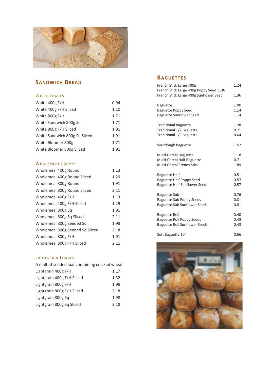

# **SANDWICH BREAD**

#### WHITE LOAVES

| White 400g F/H                | 0.94 |
|-------------------------------|------|
| White 400g F/H Sliced         | 1.10 |
| White 800g F/H                | 1.71 |
| White Sandwich 800g Sq        | 1.71 |
| White 800g F/H Sliced         | 1.91 |
| White Sandwich 800g Sq Sliced | 1.91 |
| White Bloomer 800g            | 1.71 |
| White Bloomer 800g Sliced     | 1.91 |

## WHOLEMEAL LOAVES

| Wholemeal 400g Round            | 1.13 |
|---------------------------------|------|
| Wholemeal 400g Round Sliced     | 1.29 |
| Wholemeal 800g Round            | 1.91 |
| Wholemeal 800g Round Sliced     | 2.11 |
| Wholemeal 400g F/H              | 1.13 |
| Wholemeal 400g F/H Sliced       | 1.29 |
| Wholemeal 800g Sq               | 1.91 |
| Wholemeal 800g Sq Sliced        | 2.11 |
| Wholemeal 800g Seeded Sq        | 1.98 |
| Wholemeal 800g Seeded Sq Sliced | 2.18 |
| Wholemeal 800g F/H              | 1.91 |
| Wholemeal 800g F/H Sliced       | 2.11 |

### LIGHTGRAIN LOAVES

| Lightgrain 400g F/H<br>Lightgrain 400g F/H Sliced<br>Lightgrain 800g F/H<br>Lightgrain 800g F/H Sliced<br>Lightgrain 800g Sq<br>Lightgrain 800g Sq Sliced | A malted-seeded loaf containing cracked wheat |      |
|-----------------------------------------------------------------------------------------------------------------------------------------------------------|-----------------------------------------------|------|
|                                                                                                                                                           |                                               | 1.17 |
|                                                                                                                                                           |                                               | 1.32 |
|                                                                                                                                                           |                                               | 1.98 |
|                                                                                                                                                           |                                               | 2.18 |
|                                                                                                                                                           |                                               | 1.98 |
|                                                                                                                                                           |                                               | 2.18 |

# **BAGUETTES**

| French Stick Large 400g<br>French Stick Large 400g Poppy Seed 1.36 | 1.24 |
|--------------------------------------------------------------------|------|
| French Stick Large 400g Sunflower Seed                             | 1.36 |
| <b>Baguette</b>                                                    | 1.00 |
| <b>Baguette Poppy Seed</b>                                         | 1.14 |
| <b>Baguette Sunflower Seed</b>                                     | 1.14 |
| <b>Traditional Baguette</b>                                        | 1.28 |
| <b>Traditional 1/2 Baguette</b>                                    | 0.71 |
| Traditional 1/3 Baguette                                           | 0.64 |
| Sourdough Baguette                                                 | 1.57 |
| <b>Multi-Cereal Baguette</b>                                       | 1.18 |
| Multi-Cereal Half Baguette                                         | 0.71 |
| <b>Multi-Cereal French Stick</b>                                   | 1.89 |
| <b>Baguette Half</b>                                               | 0.51 |
| <b>Baguette Half Poppy Seed</b>                                    | 0.57 |
| Baguette Half Sunflower Seed                                       | 0.57 |
| <b>Baguette Sub</b>                                                | 0.76 |
| <b>Baguette Sub Poppy Seeds</b>                                    | 0.81 |
| <b>Baguette Sub Sunflower Seeds</b>                                | 0.81 |
| Baguette Roll                                                      | 0.40 |
| <b>Baguette Roll Poppy Seeds</b>                                   | 0.43 |
| <b>Baguette Roll Sunflower Seeds</b>                               | 0.43 |
| Soft Baguette 10"                                                  | 0.66 |

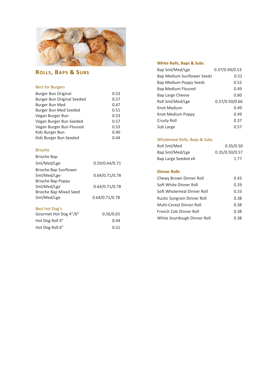

# **ROLLS , BAPS & SUBS**

# Best for Burgers

| Burger Bun Original        | 0.53 |
|----------------------------|------|
| Burger Bun Original Seeded | 0.57 |
| Burger Bun Med             | 0.47 |
| Burger Bun Med Seeded      | 0.51 |
| Vegan Burger Bun           | 0.53 |
| Vegan Burger Bun Seeded    | 0.57 |
| Vegan Burger Bun Floured   | 0.53 |
| Kids Burger Bun            | 0.40 |
| Kids Burger Bun Seeded     | 0.44 |

# Brioche

| <b>Brioche Bap</b>            |                |
|-------------------------------|----------------|
| Sml/Med/Lge                   | 0.59/0.64/0.71 |
| Brioche Bap Sunflower         |                |
| Sml/Med/Lge                   | 0.64/0.71/0.78 |
| Brioche Bap Poppy             |                |
| Sml/Med/Lge                   | 0.64/0.71/0.78 |
| <b>Brioche Bap Mixed Seed</b> |                |
| Sml/Med/Lge                   | 0.64/0.71/0.78 |
|                               |                |
| Best hot Dog's                |                |
| Gourmet Hot Dog 4"/6"         | 0.56/0.65      |
| Hot Dog Roll 4"               | 0.44           |

Hot Dog Roll 6" 0.51

# **White Rolls, Baps & Subs**

| Bap Sml/Med/Lge            | 0.37/0.49/0.53 |
|----------------------------|----------------|
| Bap Medium Sunflower Seeds | 0.52           |
| Bap Medium Poppy Seeds     | 0.52           |
| Bap Medium Floured         | 0.49           |
| <b>Bap Large Cheese</b>    | 0.60           |
| Roll Sml/Med/Lge           | 0.37/0.50/0.66 |
| Knot Medium                | 0.49           |
| Knot Medium Poppy          | 0.49           |
| <b>Crusty Roll</b>         | 0.37           |
| Sub Large                  | 0.57           |

# Wholemeal Rolls, Baps & Subs

| 0.35/0.50      |
|----------------|
| 0.35/0.50/0.57 |
| 1.77           |
|                |

#### **Dinner Rolls**

| Chewy Brown Dinner Roll            | 0.43 |
|------------------------------------|------|
|                                    |      |
| Soft White Dinner Roll             | 0.29 |
| Soft Wholemeal Dinner Roll         | 0.33 |
| <b>Rustic Sungrain Dinner Roll</b> | 0.38 |
| <b>Multi-Cereal Dinner Roll</b>    | 0.38 |
| French Cob Dinner Roll             | 0.38 |
| White Sourdough Dinner Roll        | 0.38 |
|                                    |      |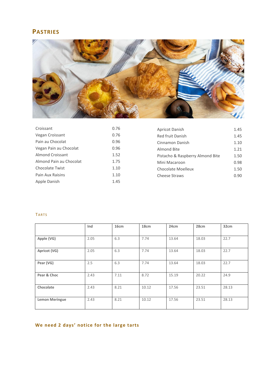# **PASTRIES**



| Croissant               | 0.76 | Apricot Danish                   | 1.45 |
|-------------------------|------|----------------------------------|------|
| Vegan Croissant         | 0.76 | Red fruit Danish                 | 1.45 |
| Pain au Chocolat        | 0.96 | Cinnamon Danish                  | 1.10 |
| Vegan Pain au Chocolat  | 0.96 | Almond Bite                      | 1.21 |
| Almond Croissant        | 1.52 | Pistacho & Raspberry Almond Bite | 1.50 |
| Almond Pain au Chocolat | 1.75 | Mini Macaroon                    | 0.98 |
| <b>Chocolate Twist</b>  | 1.10 | <b>Chocolate Moelleux</b>        | 1.50 |
| Pain Aux Raisins        | 1.10 | Cheese Straws                    | 0.90 |
| Apple Danish            | 1.45 |                                  |      |

# **TARTS**

|                       | Ind  | 16cm | 18cm  | 24cm  | 28cm  | 32cm  |
|-----------------------|------|------|-------|-------|-------|-------|
|                       |      |      |       |       |       |       |
| Apple (VG)            | 2.05 | 6.3  | 7.74  | 13.64 | 18.03 | 22.7  |
| Apricot (VG)          | 2.05 | 6.3  | 7.74  | 13.64 | 18.03 | 22.7  |
| Pear (VG)             | 2.5  | 6.3  | 7.74  | 13.64 | 18.03 | 22.7  |
| Pear & Choc           | 2.43 | 7.11 | 8.72  | 15.19 | 20.22 | 24.9  |
| Chocolate             | 2.43 | 8.21 | 10.12 | 17.56 | 23.51 | 28.13 |
| <b>Lemon Meringue</b> | 2.43 | 8.21 | 10.12 | 17.56 | 23.51 | 28.13 |

# **We need 2 days' notice for the large tarts**